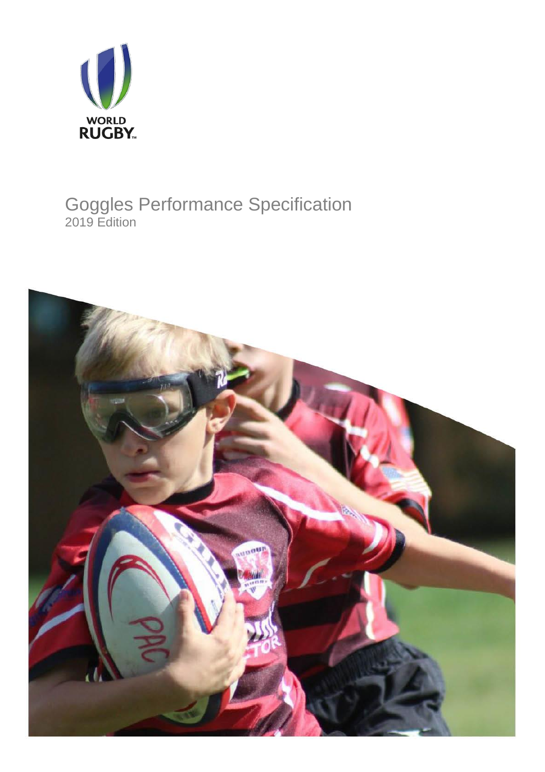

# Goggles Performance Specification 2019 Edition

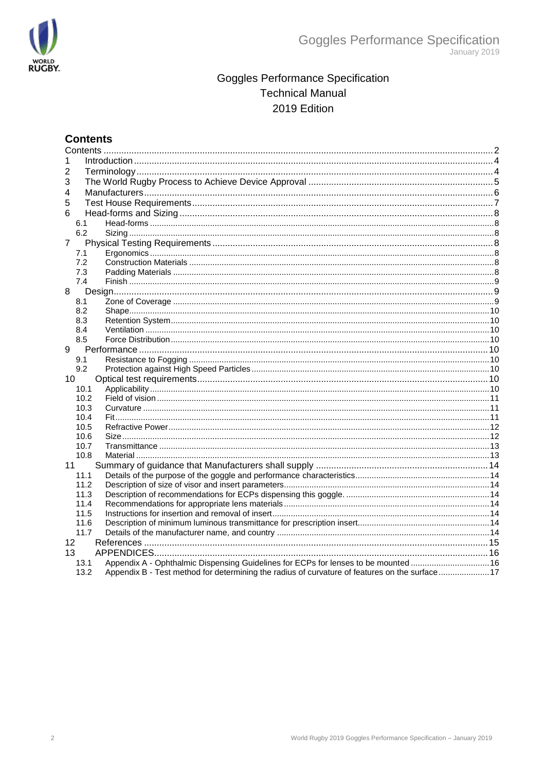

## **Goggles Performance Specification Technical Manual** 2019 Edition

## <span id="page-1-0"></span>**Contents**

| 1<br>2<br>3<br>4<br>5<br>6<br>6.1<br>6.2<br>$\overline{7}$<br>7.1<br>7.2<br>7.3<br>7.4<br>8<br>8.1<br>8.2<br>8.3<br>8.4<br>8.5<br>9<br>9.1<br>9.2<br>10<br>10.1<br>10.2<br>10.3<br>10.4<br>10.5<br>10.6<br>10.7<br>10.8<br>11<br>11.1<br>11.2<br>11.3<br>11.4<br>11.5<br>11.6<br>11.7<br>12<br>13<br>Appendix A - Ophthalmic Dispensing Guidelines for ECPs for lenses to be mounted 16<br>13.1<br>Appendix B - Test method for determining the radius of curvature of features on the surface17<br>13.2 |  |  |
|----------------------------------------------------------------------------------------------------------------------------------------------------------------------------------------------------------------------------------------------------------------------------------------------------------------------------------------------------------------------------------------------------------------------------------------------------------------------------------------------------------|--|--|
|                                                                                                                                                                                                                                                                                                                                                                                                                                                                                                          |  |  |
|                                                                                                                                                                                                                                                                                                                                                                                                                                                                                                          |  |  |
|                                                                                                                                                                                                                                                                                                                                                                                                                                                                                                          |  |  |
|                                                                                                                                                                                                                                                                                                                                                                                                                                                                                                          |  |  |
|                                                                                                                                                                                                                                                                                                                                                                                                                                                                                                          |  |  |
|                                                                                                                                                                                                                                                                                                                                                                                                                                                                                                          |  |  |
|                                                                                                                                                                                                                                                                                                                                                                                                                                                                                                          |  |  |
|                                                                                                                                                                                                                                                                                                                                                                                                                                                                                                          |  |  |
|                                                                                                                                                                                                                                                                                                                                                                                                                                                                                                          |  |  |
|                                                                                                                                                                                                                                                                                                                                                                                                                                                                                                          |  |  |
|                                                                                                                                                                                                                                                                                                                                                                                                                                                                                                          |  |  |
|                                                                                                                                                                                                                                                                                                                                                                                                                                                                                                          |  |  |
|                                                                                                                                                                                                                                                                                                                                                                                                                                                                                                          |  |  |
|                                                                                                                                                                                                                                                                                                                                                                                                                                                                                                          |  |  |
|                                                                                                                                                                                                                                                                                                                                                                                                                                                                                                          |  |  |
|                                                                                                                                                                                                                                                                                                                                                                                                                                                                                                          |  |  |
|                                                                                                                                                                                                                                                                                                                                                                                                                                                                                                          |  |  |
|                                                                                                                                                                                                                                                                                                                                                                                                                                                                                                          |  |  |
|                                                                                                                                                                                                                                                                                                                                                                                                                                                                                                          |  |  |
|                                                                                                                                                                                                                                                                                                                                                                                                                                                                                                          |  |  |
|                                                                                                                                                                                                                                                                                                                                                                                                                                                                                                          |  |  |
|                                                                                                                                                                                                                                                                                                                                                                                                                                                                                                          |  |  |
|                                                                                                                                                                                                                                                                                                                                                                                                                                                                                                          |  |  |
|                                                                                                                                                                                                                                                                                                                                                                                                                                                                                                          |  |  |
|                                                                                                                                                                                                                                                                                                                                                                                                                                                                                                          |  |  |
|                                                                                                                                                                                                                                                                                                                                                                                                                                                                                                          |  |  |
|                                                                                                                                                                                                                                                                                                                                                                                                                                                                                                          |  |  |
|                                                                                                                                                                                                                                                                                                                                                                                                                                                                                                          |  |  |
|                                                                                                                                                                                                                                                                                                                                                                                                                                                                                                          |  |  |
|                                                                                                                                                                                                                                                                                                                                                                                                                                                                                                          |  |  |
|                                                                                                                                                                                                                                                                                                                                                                                                                                                                                                          |  |  |
|                                                                                                                                                                                                                                                                                                                                                                                                                                                                                                          |  |  |
|                                                                                                                                                                                                                                                                                                                                                                                                                                                                                                          |  |  |
|                                                                                                                                                                                                                                                                                                                                                                                                                                                                                                          |  |  |
|                                                                                                                                                                                                                                                                                                                                                                                                                                                                                                          |  |  |
|                                                                                                                                                                                                                                                                                                                                                                                                                                                                                                          |  |  |
|                                                                                                                                                                                                                                                                                                                                                                                                                                                                                                          |  |  |
|                                                                                                                                                                                                                                                                                                                                                                                                                                                                                                          |  |  |
|                                                                                                                                                                                                                                                                                                                                                                                                                                                                                                          |  |  |
|                                                                                                                                                                                                                                                                                                                                                                                                                                                                                                          |  |  |
|                                                                                                                                                                                                                                                                                                                                                                                                                                                                                                          |  |  |
|                                                                                                                                                                                                                                                                                                                                                                                                                                                                                                          |  |  |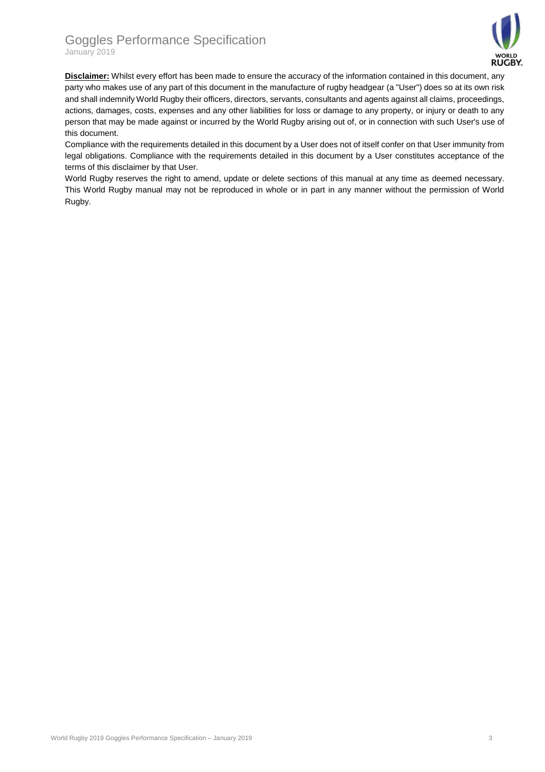## Goggles Performance Specification January 2019



**Disclaimer:** Whilst every effort has been made to ensure the accuracy of the information contained in this document, any party who makes use of any part of this document in the manufacture of rugby headgear (a "User") does so at its own risk and shall indemnify World Rugby their officers, directors, servants, consultants and agents against all claims, proceedings, actions, damages, costs, expenses and any other liabilities for loss or damage to any property, or injury or death to any person that may be made against or incurred by the World Rugby arising out of, or in connection with such User's use of this document.

Compliance with the requirements detailed in this document by a User does not of itself confer on that User immunity from legal obligations. Compliance with the requirements detailed in this document by a User constitutes acceptance of the terms of this disclaimer by that User.

World Rugby reserves the right to amend, update or delete sections of this manual at any time as deemed necessary. This World Rugby manual may not be reproduced in whole or in part in any manner without the permission of World Rugby.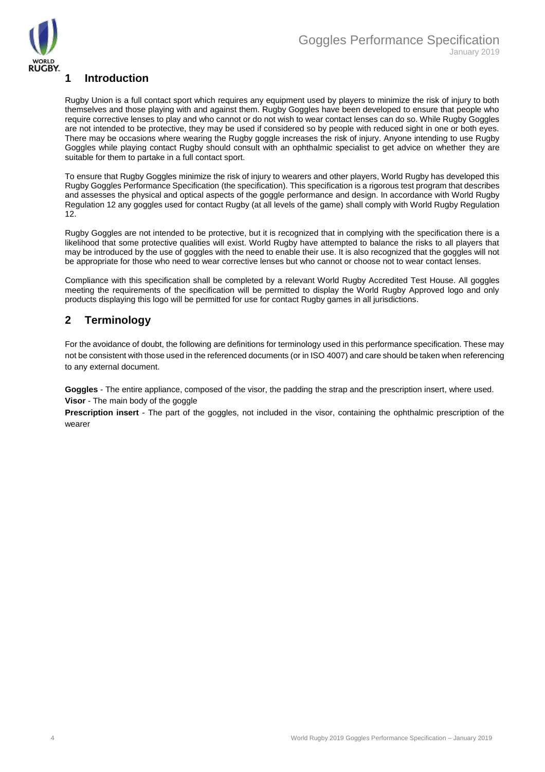

## <span id="page-3-0"></span>**1 Introduction**

Rugby Union is a full contact sport which requires any equipment used by players to minimize the risk of injury to both themselves and those playing with and against them. Rugby Goggles have been developed to ensure that people who require corrective lenses to play and who cannot or do not wish to wear contact lenses can do so. While Rugby Goggles are not intended to be protective, they may be used if considered so by people with reduced sight in one or both eyes. There may be occasions where wearing the Rugby goggle increases the risk of injury. Anyone intending to use Rugby Goggles while playing contact Rugby should consult with an ophthalmic specialist to get advice on whether they are suitable for them to partake in a full contact sport.

To ensure that Rugby Goggles minimize the risk of injury to wearers and other players, World Rugby has developed this Rugby Goggles Performance Specification (the specification). This specification is a rigorous test program that describes and assesses the physical and optical aspects of the goggle performance and design. In accordance with World Rugby Regulation 12 any goggles used for contact Rugby (at all levels of the game) shall comply with World Rugby Regulation 12.

Rugby Goggles are not intended to be protective, but it is recognized that in complying with the specification there is a likelihood that some protective qualities will exist. World Rugby have attempted to balance the risks to all players that may be introduced by the use of goggles with the need to enable their use. It is also recognized that the goggles will not be appropriate for those who need to wear corrective lenses but who cannot or choose not to wear contact lenses.

Compliance with this specification shall be completed by a relevant World Rugby Accredited Test House. All goggles meeting the requirements of the specification will be permitted to display the World Rugby Approved logo and only products displaying this logo will be permitted for use for contact Rugby games in all jurisdictions.

## <span id="page-3-1"></span>**2 Terminology**

For the avoidance of doubt, the following are definitions for terminology used in this performance specification. These may not be consistent with those used in the referenced documents (or in ISO 4007) and care should be taken when referencing to any external document.

**Goggles** - The entire appliance, composed of the visor, the padding the strap and the prescription insert, where used. **Visor** - The main body of the goggle

**Prescription insert** - The part of the goggles, not included in the visor, containing the ophthalmic prescription of the wearer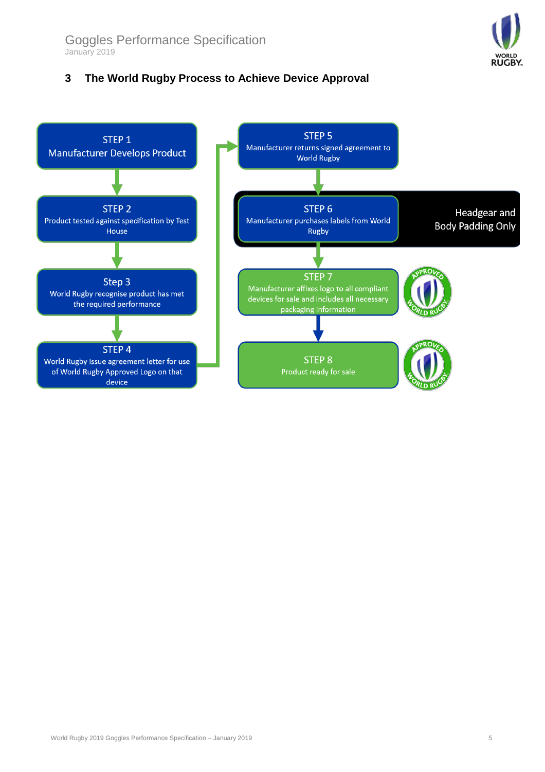## <span id="page-4-0"></span>**3 The World Rugby Process to Achieve Device Approval**



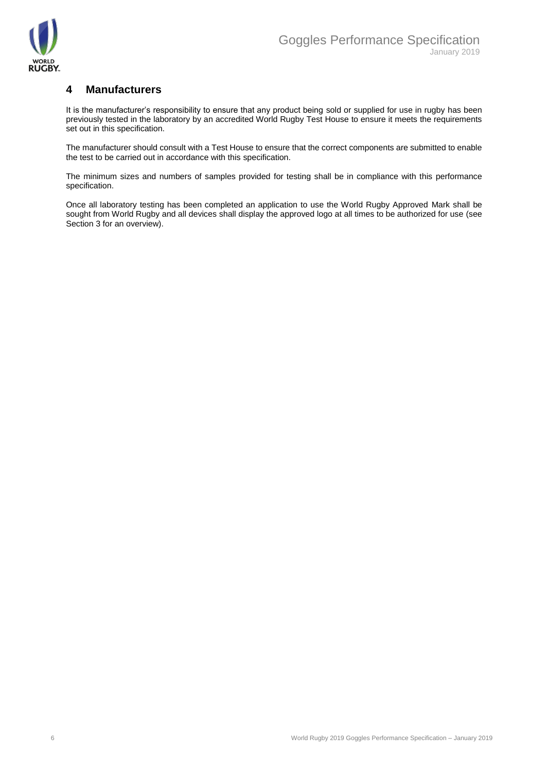

## <span id="page-5-0"></span>**4 Manufacturers**

It is the manufacturer's responsibility to ensure that any product being sold or supplied for use in rugby has been previously tested in the laboratory by an accredited World Rugby Test House to ensure it meets the requirements set out in this specification.

The manufacturer should consult with a Test House to ensure that the correct components are submitted to enable the test to be carried out in accordance with this specification.

The minimum sizes and numbers of samples provided for testing shall be in compliance with this performance specification.

Once all laboratory testing has been completed an application to use the World Rugby Approved Mark shall be sought from World Rugby and all devices shall display the approved logo at all times to be authorized for use (see Section 3 for an overview).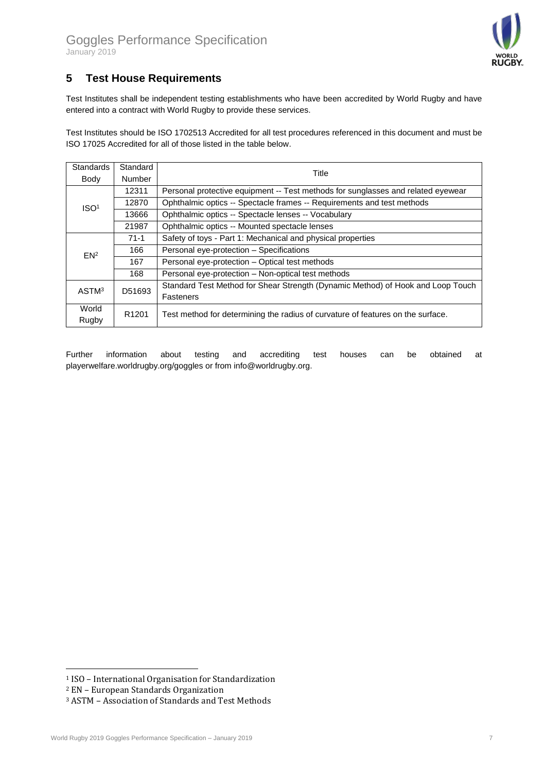

## <span id="page-6-0"></span>**5 Test House Requirements**

Test Institutes shall be independent testing establishments who have been accredited by World Rugby and have entered into a contract with World Rugby to provide these services.

Test Institutes should be ISO 1702513 Accredited for all test procedures referenced in this document and must be ISO 17025 Accredited for all of those listed in the table below.

| Standards         | Standard          | Title                                                                            |  |
|-------------------|-------------------|----------------------------------------------------------------------------------|--|
| Body              | <b>Number</b>     |                                                                                  |  |
|                   | 12311             | Personal protective equipment -- Test methods for sunglasses and related eyewear |  |
| ISO <sup>1</sup>  | 12870             | Ophthalmic optics -- Spectacle frames -- Requirements and test methods           |  |
|                   | 13666             | Ophthalmic optics -- Spectacle lenses -- Vocabulary                              |  |
|                   | 21987             | Ophthalmic optics -- Mounted spectacle lenses                                    |  |
|                   | $71-1$            | Safety of toys - Part 1: Mechanical and physical properties                      |  |
| EN <sup>2</sup>   | 166               | Personal eye-protection - Specifications                                         |  |
|                   | 167               | Personal eye-protection - Optical test methods                                   |  |
|                   | 168               | Personal eye-protection – Non-optical test methods                               |  |
| ASTM <sup>3</sup> | D51693            | Standard Test Method for Shear Strength (Dynamic Method) of Hook and Loop Touch  |  |
|                   |                   | <b>Fasteners</b>                                                                 |  |
| World             | R <sub>1201</sub> | Test method for determining the radius of curvature of features on the surface.  |  |
| Rugby             |                   |                                                                                  |  |

Further information about testing and accrediting test houses can be obtained at playerwelfare.worldrugby.org/goggles or from info@worldrugby.org.

<u>.</u>

<sup>1</sup> ISO – International Organisation for Standardization

<sup>2</sup> EN – European Standards Organization

<sup>3</sup> ASTM – Association of Standards and Test Methods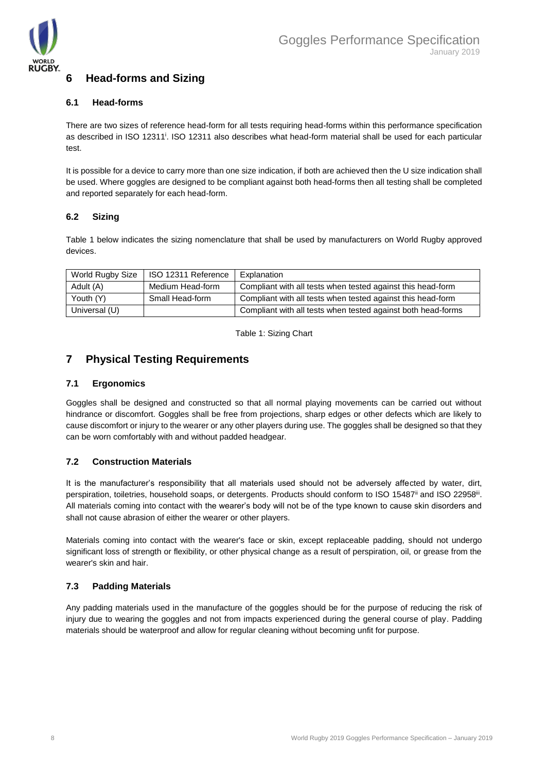

## <span id="page-7-0"></span>**6 Head-forms and Sizing**

#### <span id="page-7-1"></span>**6.1 Head-forms**

There are two sizes of reference head-form for all tests requiring head-forms within this performance specification as described in ISO 12311<sup>i</sup>. ISO 12311 also describes what head-form material shall be used for each particular test.

It is possible for a device to carry more than one size indication, if both are achieved then the U size indication shall be used. Where goggles are designed to be compliant against both head-forms then all testing shall be completed and reported separately for each head-form.

#### <span id="page-7-2"></span>**6.2 Sizing**

Table 1 below indicates the sizing nomenclature that shall be used by manufacturers on World Rugby approved devices.

| World Rugby Size | ISO 12311 Reference | Explanation                                                  |
|------------------|---------------------|--------------------------------------------------------------|
| Adult (A)        | Medium Head-form    | Compliant with all tests when tested against this head-form  |
| Youth (Y)        | Small Head-form     | Compliant with all tests when tested against this head-form  |
| Universal (U)    |                     | Compliant with all tests when tested against both head-forms |

Table 1: Sizing Chart

### <span id="page-7-3"></span>**7 Physical Testing Requirements**

#### <span id="page-7-4"></span>**7.1 Ergonomics**

Goggles shall be designed and constructed so that all normal playing movements can be carried out without hindrance or discomfort. Goggles shall be free from projections, sharp edges or other defects which are likely to cause discomfort or injury to the wearer or any other players during use. The goggles shall be designed so that they can be worn comfortably with and without padded headgear.

#### <span id="page-7-5"></span>**7.2 Construction Materials**

It is the manufacturer's responsibility that all materials used should not be adversely affected by water, dirt, perspiration, toiletries, household soaps, or detergents. Products should conform to ISO 15487<sup>ii</sup> and ISO 22958<sup>iii</sup>. All materials coming into contact with the wearer's body will not be of the type known to cause skin disorders and shall not cause abrasion of either the wearer or other players.

Materials coming into contact with the wearer's face or skin, except replaceable padding, should not undergo significant loss of strength or flexibility, or other physical change as a result of perspiration, oil, or grease from the wearer's skin and hair.

#### <span id="page-7-6"></span>**7.3 Padding Materials**

Any padding materials used in the manufacture of the goggles should be for the purpose of reducing the risk of injury due to wearing the goggles and not from impacts experienced during the general course of play. Padding materials should be waterproof and allow for regular cleaning without becoming unfit for purpose.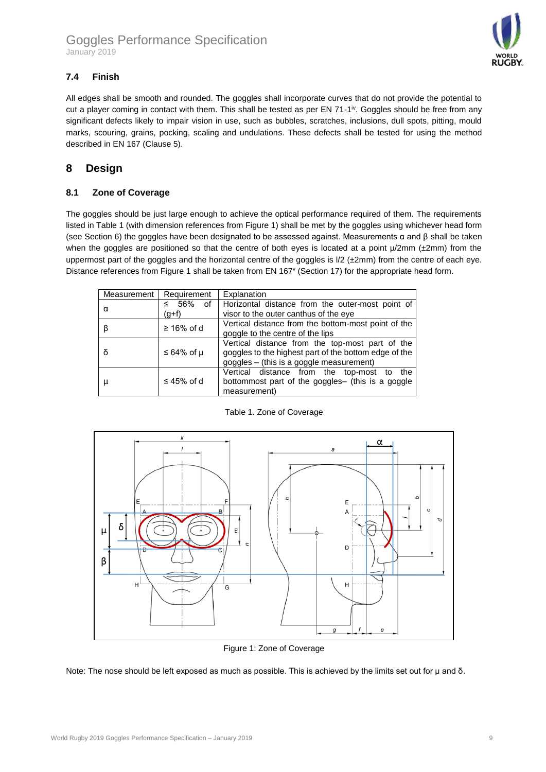

### <span id="page-8-0"></span>**7.4 Finish**

All edges shall be smooth and rounded. The goggles shall incorporate curves that do not provide the potential to cut a player coming in contact with them. This shall be tested as per EN 71-1<sup>iv</sup>. Goggles should be free from any significant defects likely to impair vision in use, such as bubbles, scratches, inclusions, dull spots, pitting, mould marks, scouring, grains, pocking, scaling and undulations. These defects shall be tested for using the method described in EN 167 (Clause 5).

## <span id="page-8-1"></span>**8 Design**

#### <span id="page-8-2"></span>**8.1 Zone of Coverage**

The goggles should be just large enough to achieve the optical performance required of them. The requirements listed in Table 1 (with dimension references from Figure 1) shall be met by the goggles using whichever head form (see Section 6) the goggles have been designated to be assessed against. Measurements α and β shall be taken when the goggles are positioned so that the centre of both eyes is located at a point  $\mu/2$ mm (±2mm) from the uppermost part of the goggles and the horizontal centre of the goggles is  $1/2$  ( $\pm 2$ mm) from the centre of each eye. Distance references from Figure 1 shall be taken from EN 167<sup>v</sup> (Section 17) for the appropriate head form.

| Measurement | Requirement         | Explanation                                                                                                                                          |
|-------------|---------------------|------------------------------------------------------------------------------------------------------------------------------------------------------|
| α           | - 56%<br>≤<br>(g+f) | of   Horizontal distance from the outer-most point of<br>visor to the outer canthus of the eye                                                       |
|             | $\geq 16\%$ of d    | Vertical distance from the bottom-most point of the<br>goggle to the centre of the lips                                                              |
| δ           | ≤ 64% of $\mu$      | Vertical distance from the top-most part of the<br>goggles to the highest part of the bottom edge of the<br>goggles - (this is a goggle measurement) |
| μ           | $\leq 45\%$ of d    | Vertical distance from the top-most to<br>the<br>bottommost part of the goggles- (this is a goggle<br>measurement)                                   |



Table 1. Zone of Coverage

Figure 1: Zone of Coverage

Note: The nose should be left exposed as much as possible. This is achieved by the limits set out for μ and δ.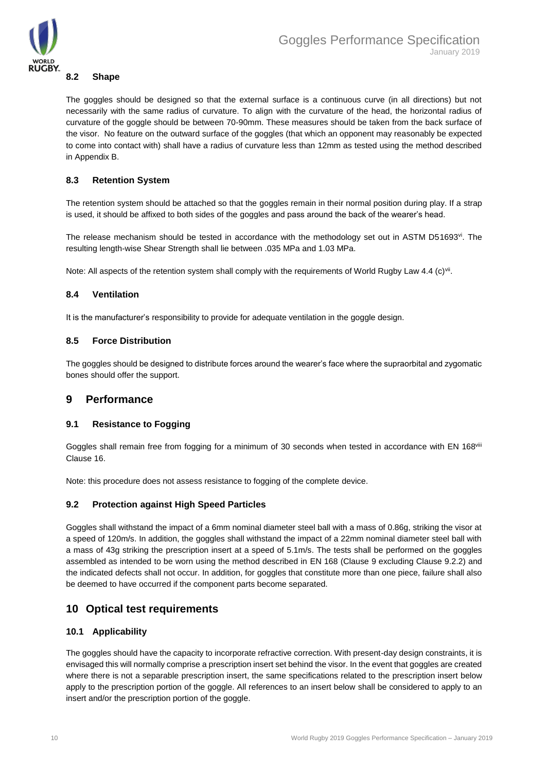

#### <span id="page-9-0"></span>**8.2 Shape**

The goggles should be designed so that the external surface is a continuous curve (in all directions) but not necessarily with the same radius of curvature. To align with the curvature of the head, the horizontal radius of curvature of the goggle should be between 70-90mm. These measures should be taken from the back surface of the visor. No feature on the outward surface of the goggles (that which an opponent may reasonably be expected to come into contact with) shall have a radius of curvature less than 12mm as tested using the method described in Appendix B.

#### <span id="page-9-1"></span>**8.3 Retention System**

The retention system should be attached so that the goggles remain in their normal position during play. If a strap is used, it should be affixed to both sides of the goggles and pass around the back of the wearer's head.

The release mechanism should be tested in accordance with the methodology set out in ASTM D51693<sup>vi</sup>. The resulting length-wise Shear Strength shall lie between .035 MPa and 1.03 MPa.

Note: All aspects of the retention system shall comply with the requirements of World Rugby Law 4.4 (c)<sup>vii</sup>.

#### <span id="page-9-2"></span>**8.4 Ventilation**

It is the manufacturer's responsibility to provide for adequate ventilation in the goggle design.

#### <span id="page-9-3"></span>**8.5 Force Distribution**

The goggles should be designed to distribute forces around the wearer's face where the supraorbital and zygomatic bones should offer the support.

### <span id="page-9-4"></span>**9 Performance**

#### <span id="page-9-5"></span>**9.1 Resistance to Fogging**

Goggles shall remain free from fogging for a minimum of 30 seconds when tested in accordance with EN 168viii Clause 16.

Note: this procedure does not assess resistance to fogging of the complete device.

#### <span id="page-9-6"></span>**9.2 Protection against High Speed Particles**

Goggles shall withstand the impact of a 6mm nominal diameter steel ball with a mass of 0.86g, striking the visor at a speed of 120m/s. In addition, the goggles shall withstand the impact of a 22mm nominal diameter steel ball with a mass of 43g striking the prescription insert at a speed of 5.1m/s. The tests shall be performed on the goggles assembled as intended to be worn using the method described in EN 168 (Clause 9 excluding Clause 9.2.2) and the indicated defects shall not occur. In addition, for goggles that constitute more than one piece, failure shall also be deemed to have occurred if the component parts become separated.

## <span id="page-9-7"></span>**10 Optical test requirements**

#### <span id="page-9-8"></span>**10.1 Applicability**

The goggles should have the capacity to incorporate refractive correction. With present-day design constraints, it is envisaged this will normally comprise a prescription insert set behind the visor. In the event that goggles are created where there is not a separable prescription insert, the same specifications related to the prescription insert below apply to the prescription portion of the goggle. All references to an insert below shall be considered to apply to an insert and/or the prescription portion of the goggle.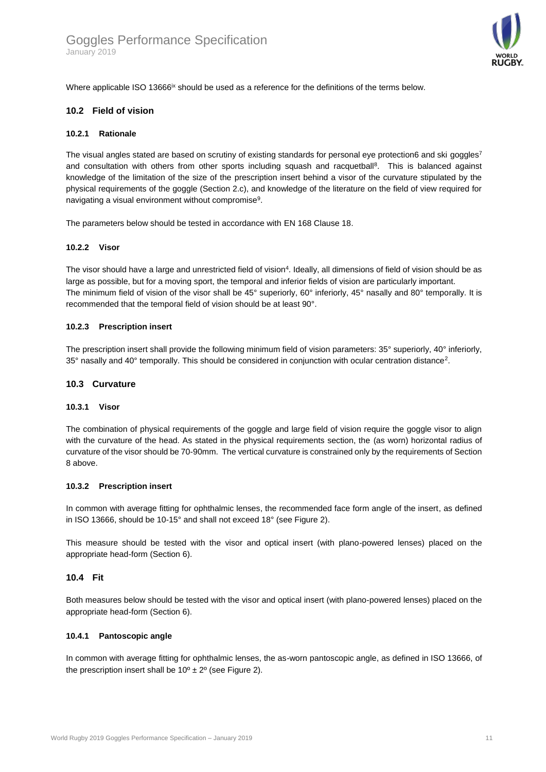

Where applicable ISO 13666<sup>ix</sup> should be used as a reference for the definitions of the terms below.

#### <span id="page-10-0"></span>**10.2 Field of vision**

#### **10.2.1 Rationale**

The visual angles stated are based on scrutiny of existing standards for personal eye protection6 and ski goggles<sup>7</sup> and consultation with others from other sports including squash and racquetball<sup>8</sup>. This is balanced against knowledge of the limitation of the size of the prescription insert behind a visor of the curvature stipulated by the physical requirements of the goggle (Section 2.c), and knowledge of the literature on the field of view required for navigating a visual environment without compromise<sup>9</sup>.

The parameters below should be tested in accordance with EN 168 Clause 18.

#### **10.2.2 Visor**

The visor should have a large and unrestricted field of vision<sup>4</sup>. Ideally, all dimensions of field of vision should be as large as possible, but for a moving sport, the temporal and inferior fields of vision are particularly important. The minimum field of vision of the visor shall be 45° superiorly, 60° inferiorly, 45° nasally and 80° temporally. It is recommended that the temporal field of vision should be at least 90°.

#### **10.2.3 Prescription insert**

The prescription insert shall provide the following minimum field of vision parameters: 35° superiorly, 40° inferiorly, 35° nasally and 40° temporally. This should be considered in conjunction with ocular centration distance<sup>2</sup>.

#### <span id="page-10-1"></span>**10.3 Curvature**

#### **10.3.1 Visor**

The combination of physical requirements of the goggle and large field of vision require the goggle visor to align with the curvature of the head. As stated in the physical requirements section, the (as worn) horizontal radius of curvature of the visor should be 70-90mm. The vertical curvature is constrained only by the requirements of Section 8 above.

#### **10.3.2 Prescription insert**

In common with average fitting for ophthalmic lenses, the recommended face form angle of the insert, as defined in ISO 13666, should be 10-15° and shall not exceed 18° (see Figure 2).

This measure should be tested with the visor and optical insert (with plano-powered lenses) placed on the appropriate head-form (Section 6).

#### <span id="page-10-2"></span>**10.4 Fit**

Both measures below should be tested with the visor and optical insert (with plano-powered lenses) placed on the appropriate head-form (Section 6).

#### **10.4.1 Pantoscopic angle**

In common with average fitting for ophthalmic lenses, the as-worn pantoscopic angle, as defined in ISO 13666, of the prescription insert shall be  $10^{\circ} \pm 2^{\circ}$  (see Figure 2).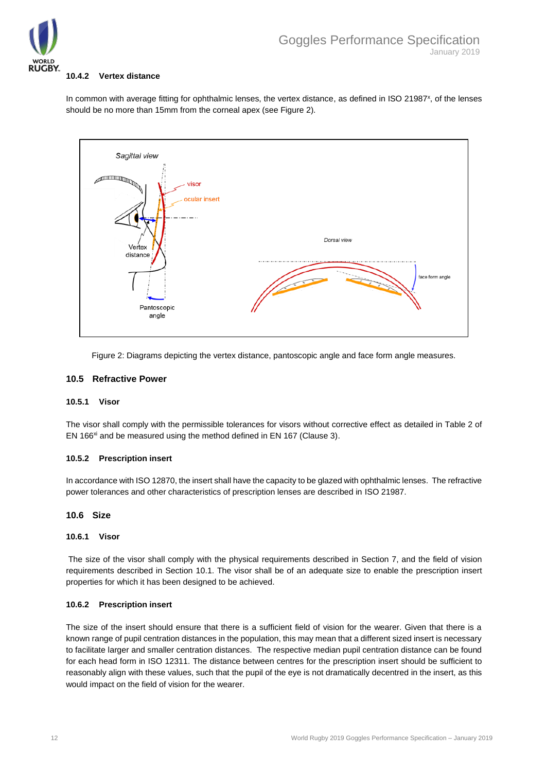

#### **10.4.2 Vertex distance**

In common with average fitting for ophthalmic lenses, the vertex distance, as defined in ISO 21987<sup>x</sup>, of the lenses should be no more than 15mm from the corneal apex (see Figure 2).



Figure 2: Diagrams depicting the vertex distance, pantoscopic angle and face form angle measures.

#### <span id="page-11-0"></span>**10.5 Refractive Power**

#### **10.5.1 Visor**

The visor shall comply with the permissible tolerances for visors without corrective effect as detailed in Table 2 of EN 166<sup>xi</sup> and be measured using the method defined in EN 167 (Clause 3).

#### **10.5.2 Prescription insert**

In accordance with ISO 12870, the insert shall have the capacity to be glazed with ophthalmic lenses. The refractive power tolerances and other characteristics of prescription lenses are described in ISO 21987.

#### <span id="page-11-1"></span>**10.6 Size**

#### **10.6.1 Visor**

The size of the visor shall comply with the physical requirements described in Section 7, and the field of vision requirements described in Section 10.1. The visor shall be of an adequate size to enable the prescription insert properties for which it has been designed to be achieved.

#### **10.6.2 Prescription insert**

The size of the insert should ensure that there is a sufficient field of vision for the wearer. Given that there is a known range of pupil centration distances in the population, this may mean that a different sized insert is necessary to facilitate larger and smaller centration distances. The respective median pupil centration distance can be found for each head form in ISO 12311. The distance between centres for the prescription insert should be sufficient to reasonably align with these values, such that the pupil of the eye is not dramatically decentred in the insert, as this would impact on the field of vision for the wearer.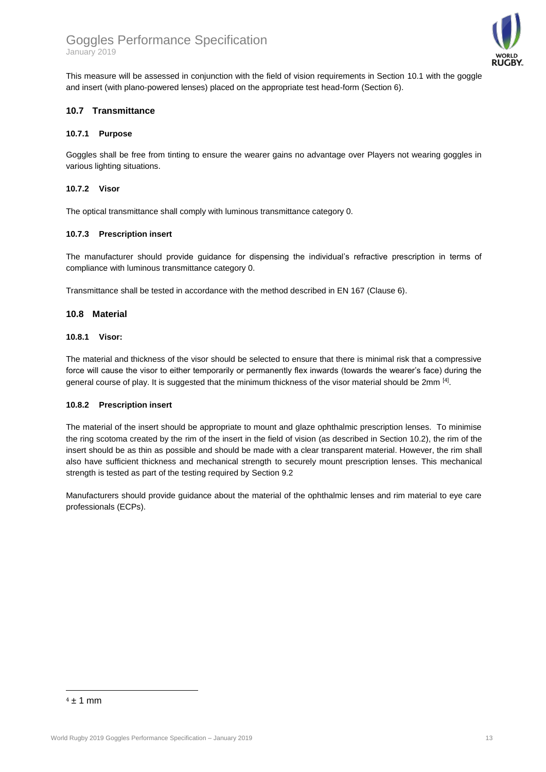### Goggles Performance Specification January 2019



This measure will be assessed in conjunction with the field of vision requirements in Section 10.1 with the goggle and insert (with plano-powered lenses) placed on the appropriate test head-form (Section 6).

#### <span id="page-12-0"></span>**10.7 Transmittance**

#### **10.7.1 Purpose**

Goggles shall be free from tinting to ensure the wearer gains no advantage over Players not wearing goggles in various lighting situations.

#### **10.7.2 Visor**

The optical transmittance shall comply with luminous transmittance category 0.

#### **10.7.3 Prescription insert**

The manufacturer should provide guidance for dispensing the individual's refractive prescription in terms of compliance with luminous transmittance category 0.

Transmittance shall be tested in accordance with the method described in EN 167 (Clause 6).

#### <span id="page-12-1"></span>**10.8 Material**

#### **10.8.1 Visor:**

The material and thickness of the visor should be selected to ensure that there is minimal risk that a compressive force will cause the visor to either temporarily or permanently flex inwards (towards the wearer's face) during the general course of play. It is suggested that the minimum thickness of the visor material should be 2mm  $[4]$ .

#### **10.8.2 Prescription insert**

The material of the insert should be appropriate to mount and glaze ophthalmic prescription lenses. To minimise the ring scotoma created by the rim of the insert in the field of vision (as described in Section 10.2), the rim of the insert should be as thin as possible and should be made with a clear transparent material. However, the rim shall also have sufficient thickness and mechanical strength to securely mount prescription lenses. This mechanical strength is tested as part of the testing required by Section 9.2

Manufacturers should provide guidance about the material of the ophthalmic lenses and rim material to eye care professionals (ECPs).

<u>.</u>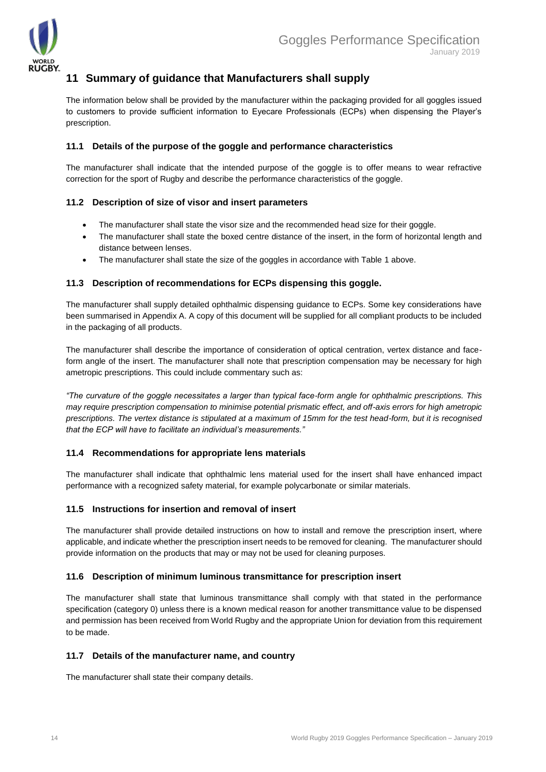

## <span id="page-13-0"></span>**11 Summary of guidance that Manufacturers shall supply**

The information below shall be provided by the manufacturer within the packaging provided for all goggles issued to customers to provide sufficient information to Eyecare Professionals (ECPs) when dispensing the Player's prescription.

#### <span id="page-13-1"></span>**11.1 Details of the purpose of the goggle and performance characteristics**

The manufacturer shall indicate that the intended purpose of the goggle is to offer means to wear refractive correction for the sport of Rugby and describe the performance characteristics of the goggle.

#### <span id="page-13-2"></span>**11.2 Description of size of visor and insert parameters**

- The manufacturer shall state the visor size and the recommended head size for their goggle.
- The manufacturer shall state the boxed centre distance of the insert, in the form of horizontal length and distance between lenses.
- The manufacturer shall state the size of the goggles in accordance with Table 1 above.

#### <span id="page-13-3"></span>**11.3 Description of recommendations for ECPs dispensing this goggle.**

The manufacturer shall supply detailed ophthalmic dispensing guidance to ECPs. Some key considerations have been summarised in Appendix A. A copy of this document will be supplied for all compliant products to be included in the packaging of all products.

The manufacturer shall describe the importance of consideration of optical centration, vertex distance and faceform angle of the insert. The manufacturer shall note that prescription compensation may be necessary for high ametropic prescriptions. This could include commentary such as:

*"The curvature of the goggle necessitates a larger than typical face-form angle for ophthalmic prescriptions. This may require prescription compensation to minimise potential prismatic effect, and off-axis errors for high ametropic prescriptions. The vertex distance is stipulated at a maximum of 15mm for the test head-form, but it is recognised that the ECP will have to facilitate an individual's measurements."*

#### <span id="page-13-4"></span>**11.4 Recommendations for appropriate lens materials**

The manufacturer shall indicate that ophthalmic lens material used for the insert shall have enhanced impact performance with a recognized safety material, for example polycarbonate or similar materials.

#### <span id="page-13-5"></span>**11.5 Instructions for insertion and removal of insert**

The manufacturer shall provide detailed instructions on how to install and remove the prescription insert, where applicable, and indicate whether the prescription insert needs to be removed for cleaning. The manufacturer should provide information on the products that may or may not be used for cleaning purposes.

#### <span id="page-13-6"></span>**11.6 Description of minimum luminous transmittance for prescription insert**

The manufacturer shall state that luminous transmittance shall comply with that stated in the performance specification (category 0) unless there is a known medical reason for another transmittance value to be dispensed and permission has been received from World Rugby and the appropriate Union for deviation from this requirement to be made.

#### <span id="page-13-7"></span>**11.7 Details of the manufacturer name, and country**

The manufacturer shall state their company details.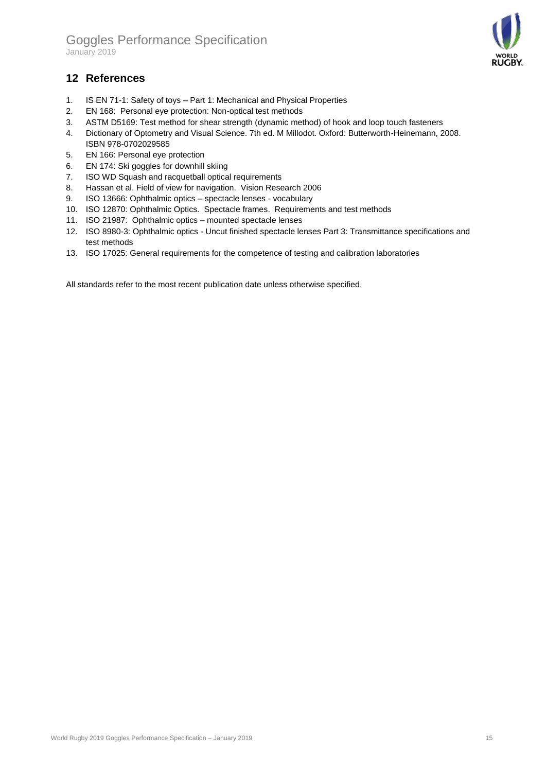

## <span id="page-14-0"></span>**12 References**

- 1. IS EN 71-1: Safety of toys Part 1: Mechanical and Physical Properties
- 2. EN 168: Personal eye protection: Non-optical test methods
- 3. ASTM D5169: Test method for shear strength (dynamic method) of hook and loop touch fasteners
- 4. Dictionary of Optometry and Visual Science. 7th ed. M Millodot. Oxford: Butterworth-Heinemann, 2008. ISBN 978-0702029585
- 5. EN 166: Personal eye protection
- 6. EN 174: Ski goggles for downhill skiing
- 7. ISO WD Squash and racquetball optical requirements
- 8. Hassan et al. Field of view for navigation. Vision Research 2006
- 9. ISO 13666: Ophthalmic optics spectacle lenses vocabulary
- 10. ISO 12870: Ophthalmic Optics. Spectacle frames. Requirements and test methods
- 11. ISO 21987: Ophthalmic optics mounted spectacle lenses
- 12. ISO 8980-3: Ophthalmic optics Uncut finished spectacle lenses Part 3: Transmittance specifications and test methods
- 13. ISO 17025: General requirements for the competence of testing and calibration laboratories

All standards refer to the most recent publication date unless otherwise specified.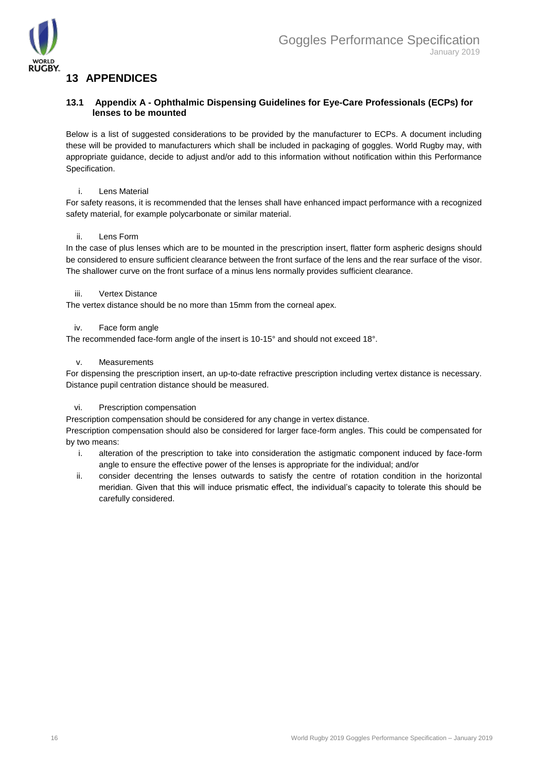

## <span id="page-15-0"></span>**13 APPENDICES**

#### <span id="page-15-1"></span>**13.1 Appendix A - Ophthalmic Dispensing Guidelines for Eye-Care Professionals (ECPs) for lenses to be mounted**

Below is a list of suggested considerations to be provided by the manufacturer to ECPs. A document including these will be provided to manufacturers which shall be included in packaging of goggles. World Rugby may, with appropriate guidance, decide to adjust and/or add to this information without notification within this Performance Specification.

#### i. Lens Material

For safety reasons, it is recommended that the lenses shall have enhanced impact performance with a recognized safety material, for example polycarbonate or similar material.

#### ii. Lens Form

In the case of plus lenses which are to be mounted in the prescription insert, flatter form aspheric designs should be considered to ensure sufficient clearance between the front surface of the lens and the rear surface of the visor. The shallower curve on the front surface of a minus lens normally provides sufficient clearance.

#### iii. Vertex Distance

The vertex distance should be no more than 15mm from the corneal apex.

#### iv. Face form angle

The recommended face-form angle of the insert is 10-15° and should not exceed 18°.

#### v. Measurements

For dispensing the prescription insert, an up-to-date refractive prescription including vertex distance is necessary. Distance pupil centration distance should be measured.

#### vi. Prescription compensation

Prescription compensation should be considered for any change in vertex distance.

Prescription compensation should also be considered for larger face-form angles. This could be compensated for by two means:

- i. alteration of the prescription to take into consideration the astigmatic component induced by face-form angle to ensure the effective power of the lenses is appropriate for the individual; and/or
- ii. consider decentring the lenses outwards to satisfy the centre of rotation condition in the horizontal meridian. Given that this will induce prismatic effect, the individual's capacity to tolerate this should be carefully considered.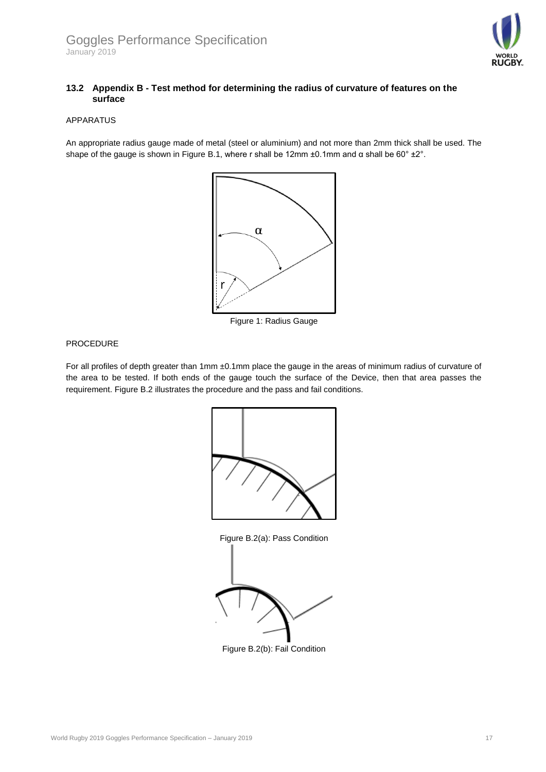

#### <span id="page-16-0"></span>**13.2 Appendix B - Test method for determining the radius of curvature of features on the surface**

#### APPARATUS

An appropriate radius gauge made of metal (steel or aluminium) and not more than 2mm thick shall be used. The shape of the gauge is shown in Figure B.1, where r shall be 12mm ±0.1mm and α shall be 60° ±2°.



Figure 1: Radius Gauge

#### PROCEDURE

For all profiles of depth greater than 1mm ±0.1mm place the gauge in the areas of minimum radius of curvature of the area to be tested. If both ends of the gauge touch the surface of the Device, then that area passes the requirement. Figure B.2 illustrates the procedure and the pass and fail conditions.



Figure B.2(a): Pass Condition



Figure B.2(b): Fail Condition